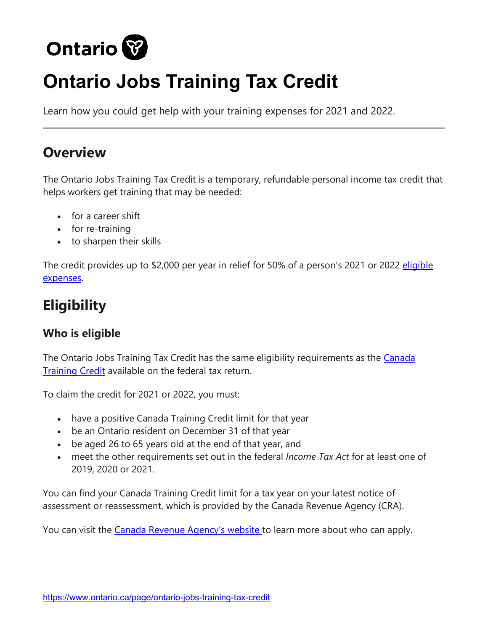

# **Ontario Jobs Training Tax Credit**

Learn how you could get help with your training expenses for 2021 and 2022.

# **Overview**

The Ontario Jobs Training Tax Credit is a temporary, refundable personal income tax credit that helps workers get training that may be needed:

- for a career shift
- for re-training
- to sharpen their skills

The credit provides up to \$2,000 per year in relief for 50% of a person's 2021 or 2022 eligible [expenses.](https://www.ontario.ca/page/ontario-jobs-training-tax-credit?_ga=2.113011015.276758578.1643134474-138340808.1559313121#eligible%20expenses)

# **Eligibility**

### **Who is eligible**

The Ontario Jobs Training Tax Credit has the same eligibility requirements as the Canada [Training Credit](https://www.canada.ca/en/revenue-agency/services/child-family-benefits/canada-training-credit.html) available on the federal tax return.

To claim the credit for 2021 or 2022, you must:

- have a positive Canada Training Credit limit for that year
- be an Ontario resident on December 31 of that year
- be aged 26 to 65 years old at the end of that year, and
- meet the other requirements set out in the federal *Income Tax Act* for at least one of 2019, 2020 or 2021.

You can find your Canada Training Credit limit for a tax year on your latest notice of assessment or reassessment, which is provided by the Canada Revenue Agency (CRA).

You can visit the [Canada Revenue Agency's website t](https://www.canada.ca/en/revenue-agency/services/child-family-benefits/canada-training-credit/who-can-apply.html#who)o learn more about who can apply.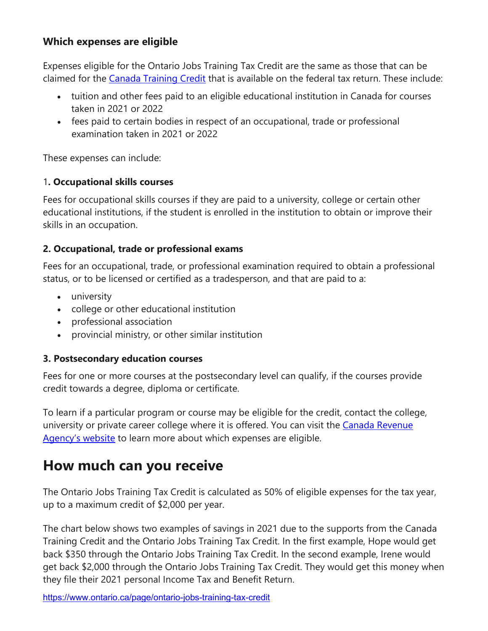#### **Which expenses are eligible**

Expenses eligible for the Ontario Jobs Training Tax Credit are the same as those that can be claimed for the [Canada Training Credit](https://www.canada.ca/en/revenue-agency/services/child-family-benefits/canada-training-credit/who-can-apply.html) that is available on the federal tax return. These include:

- tuition and other fees paid to an eligible educational institution in Canada for courses taken in 2021 or 2022
- fees paid to certain bodies in respect of an occupational, trade or professional examination taken in 2021 or 2022

These expenses can include:

#### 1**. Occupational skills courses**

Fees for occupational skills courses if they are paid to a university, college or certain other educational institutions, if the student is enrolled in the institution to obtain or improve their skills in an occupation.

#### **2. Occupational, trade or professional exams**

Fees for an occupational, trade, or professional examination required to obtain a professional status, or to be licensed or certified as a tradesperson, and that are paid to a:

- university
- college or other educational institution
- professional association
- provincial ministry, or other similar institution

#### **3. Postsecondary education courses**

Fees for one or more courses at the postsecondary level can qualify, if the courses provide credit towards a degree, diploma or certificate.

To learn if a particular program or course may be eligible for the credit, contact the college, university or private career college where it is offered. You can visit the Canada Revenue [Agency's website](https://www.canada.ca/en/revenue-agency/services/child-family-benefits/canada-training-credit/who-can-apply.html#eligible) to learn more about which expenses are eligible.

### **How much can you receive**

The Ontario Jobs Training Tax Credit is calculated as 50% of eligible expenses for the tax year, up to a maximum credit of \$2,000 per year.

The chart below shows two examples of savings in 2021 due to the supports from the Canada Training Credit and the Ontario Jobs Training Tax Credit. In the first example, Hope would get back \$350 through the Ontario Jobs Training Tax Credit. In the second example, Irene would get back \$2,000 through the Ontario Jobs Training Tax Credit. They would get this money when they file their 2021 personal Income Tax and Benefit Return.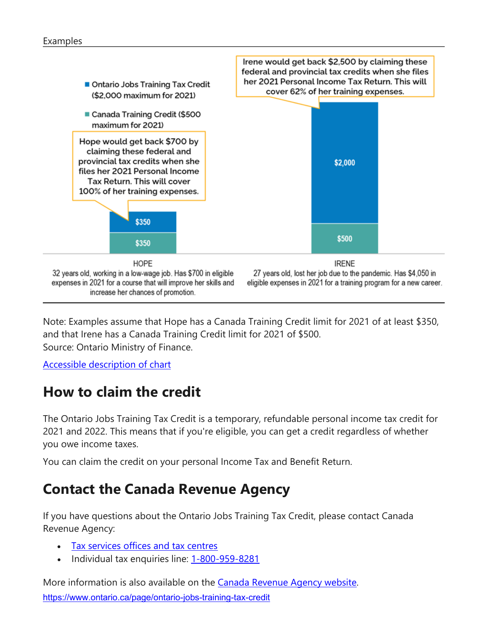#### Examples



Note: Examples assume that Hope has a Canada Training Credit limit for 2021 of at least \$350, and that Irene has a Canada Training Credit limit for 2021 of \$500. Source: Ontario Ministry of Finance.

[Accessible description of chart](https://www.ontario.ca/page/ontario-jobs-training-tax-credit?_ga=2.113011015.276758578.1643134474-138340808.1559313121#c1)

# **How to claim the credit**

The Ontario Jobs Training Tax Credit is a temporary, refundable personal income tax credit for 2021 and 2022. This means that if you're eligible, you can get a credit regardless of whether you owe income taxes.

You can claim the credit on your personal Income Tax and Benefit Return.

# **Contact the Canada Revenue Agency**

If you have questions about the Ontario Jobs Training Tax Credit, please contact Canada Revenue Agency:

- [Tax services offices and tax](https://www.canada.ca/en/revenue-agency/corporate/contact-information/tax-services-offices-tax-centres.html) centres
- Individual tax enquiries line: [1-800-959-8281](tel:+18009598281)

<https://www.ontario.ca/page/ontario-jobs-training-tax-credit> More information is also available on the [Canada Revenue Agency website.](https://www.canada.ca/en/revenue-agency/services/forms-publications/tax-packages-years/general-income-tax-benefit-package/ontario/5006-pc/information-residents-ontario.html#p8l1)